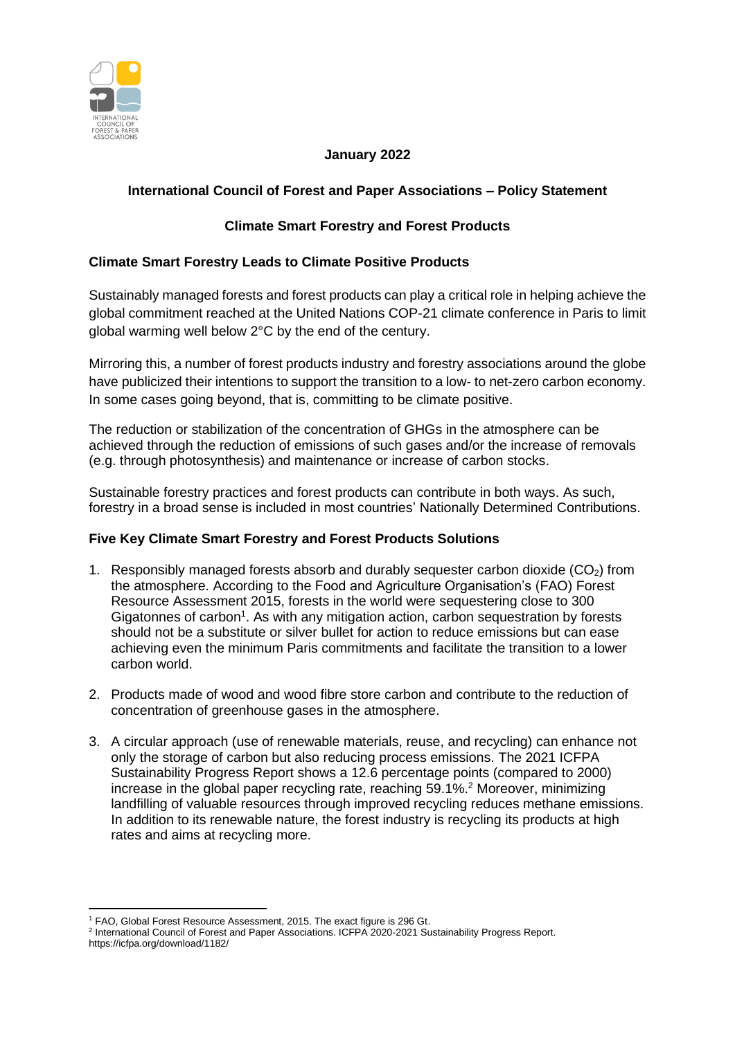

## **January 2022**

# **International Council of Forest and Paper Associations – Policy Statement**

# **Climate Smart Forestry and Forest Products**

## **Climate Smart Forestry Leads to Climate Positive Products**

Sustainably managed forests and forest products can play a critical role in helping achieve the global commitment reached at the United Nations COP-21 climate conference in Paris to limit global warming well below 2°C by the end of the century.

Mirroring this, a number of forest products industry and forestry associations around the globe have publicized their intentions to support the transition to a low- to net-zero carbon economy. In some cases going beyond, that is, committing to be climate positive.

The reduction or stabilization of the concentration of GHGs in the atmosphere can be achieved through the reduction of emissions of such gases and/or the increase of removals (e.g. through photosynthesis) and maintenance or increase of carbon stocks.

Sustainable forestry practices and forest products can contribute in both ways. As such, forestry in a broad sense is included in most countries' Nationally Determined Contributions.

## **Five Key Climate Smart Forestry and Forest Products Solutions**

- 1. Responsibly managed forests absorb and durably sequester carbon dioxide  $(CO<sub>2</sub>)$  from the atmosphere. According to the Food and Agriculture Organisation's (FAO) Forest Resource Assessment 2015, forests in the world were sequestering close to 300 Gigatonnes of carbon<sup>1</sup>. As with any mitigation action, carbon sequestration by forests should not be a substitute or silver bullet for action to reduce emissions but can ease achieving even the minimum Paris commitments and facilitate the transition to a lower carbon world.
- 2. Products made of wood and wood fibre store carbon and contribute to the reduction of concentration of greenhouse gases in the atmosphere.
- 3. A circular approach (use of renewable materials, reuse, and recycling) can enhance not only the storage of carbon but also reducing process emissions. The 2021 ICFPA Sustainability Progress Report shows a 12.6 percentage points (compared to 2000) increase in the global paper recycling rate, reaching 59.1%. <sup>2</sup> Moreover, minimizing landfilling of valuable resources through improved recycling reduces methane emissions. In addition to its renewable nature, the forest industry is recycling its products at high rates and aims at recycling more.

<sup>&</sup>lt;sup>1</sup> FAO, Global Forest Resource Assessment, 2015. The exact figure is 296 Gt.

<sup>&</sup>lt;sup>2</sup> International Council of Forest and Paper Associations. ICFPA 2020-2021 Sustainability Progress Report. https://icfpa.org/download/1182/